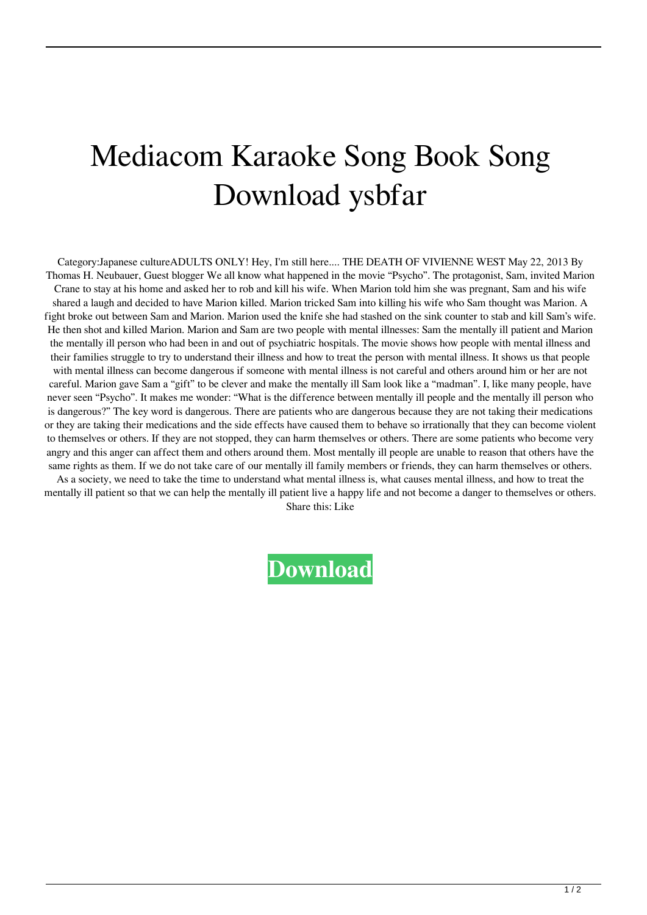## Mediacom Karaoke Song Book Song Download ysbfar

Category:Japanese cultureADULTS ONLY! Hey, I'm still here.... THE DEATH OF VIVIENNE WEST May 22, 2013 By Thomas H. Neubauer, Guest blogger We all know what happened in the movie "Psycho". The protagonist, Sam, invited Marion Crane to stay at his home and asked her to rob and kill his wife. When Marion told him she was pregnant, Sam and his wife shared a laugh and decided to have Marion killed. Marion tricked Sam into killing his wife who Sam thought was Marion. A fight broke out between Sam and Marion. Marion used the knife she had stashed on the sink counter to stab and kill Sam's wife. He then shot and killed Marion. Marion and Sam are two people with mental illnesses: Sam the mentally ill patient and Marion the mentally ill person who had been in and out of psychiatric hospitals. The movie shows how people with mental illness and their families struggle to try to understand their illness and how to treat the person with mental illness. It shows us that people with mental illness can become dangerous if someone with mental illness is not careful and others around him or her are not careful. Marion gave Sam a "gift" to be clever and make the mentally ill Sam look like a "madman". I, like many people, have never seen "Psycho". It makes me wonder: "What is the difference between mentally ill people and the mentally ill person who is dangerous?" The key word is dangerous. There are patients who are dangerous because they are not taking their medications or they are taking their medications and the side effects have caused them to behave so irrationally that they can become violent to themselves or others. If they are not stopped, they can harm themselves or others. There are some patients who become very angry and this anger can affect them and others around them. Most mentally ill people are unable to reason that others have the same rights as them. If we do not take care of our mentally ill family members or friends, they can harm themselves or others.

As a society, we need to take the time to understand what mental illness is, what causes mental illness, and how to treat the mentally ill patient so that we can help the mentally ill patient live a happy life and not become a danger to themselves or others.

Share this: Like